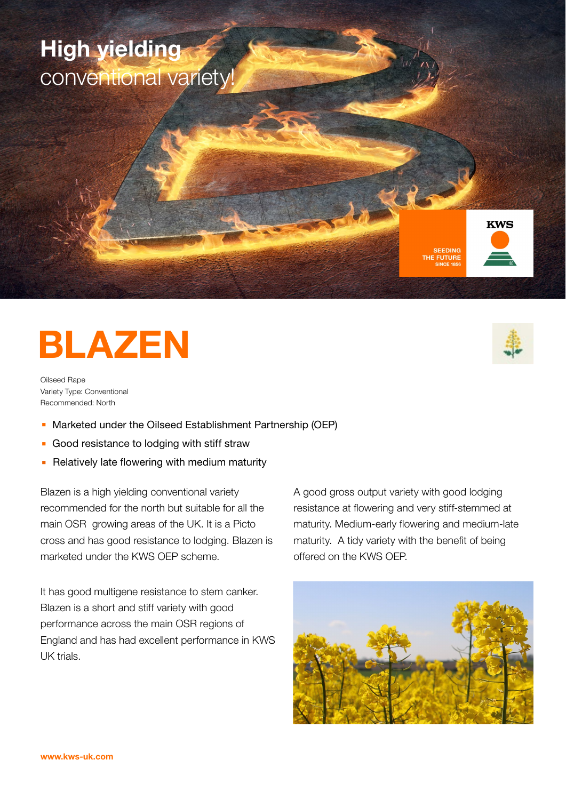## High yielding conventional variety!





# BLAZEN

Oilseed Rape Variety Type: Conventional Recommended: North

- <sup>n</sup> Marketed under the Oilseed Establishment Partnership (OEP)
- **Good resistance to lodging with stiff straw**
- $\blacksquare$  Relatively late flowering with medium maturity

Blazen is a high yielding conventional variety recommended for the north but suitable for all the main OSR growing areas of the UK. It is a Picto cross and has good resistance to lodging. Blazen is marketed under the KWS OEP scheme.

It has good multigene resistance to stem canker. Blazen is a short and stiff variety with good performance across the main OSR regions of England and has had excellent performance in KWS UK trials.

A good gross output variety with good lodging resistance at flowering and very stiff-stemmed at maturity. Medium-early flowering and medium-late maturity. A tidy variety with the benefit of being offered on the KWS OEP.



#### www.kws-uk.com